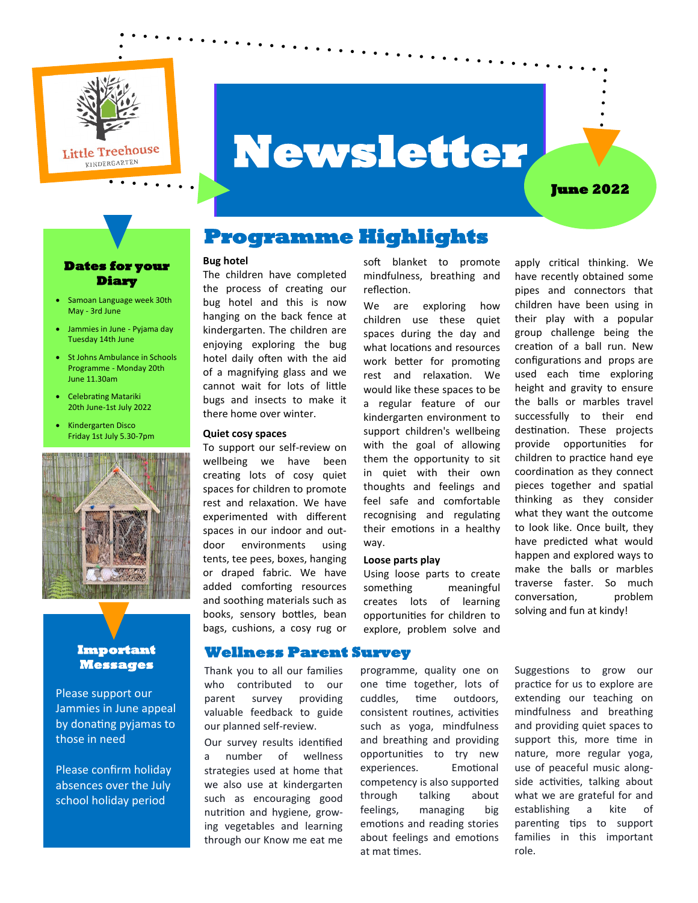

# **Newsletter**

#### **June 2022**

#### **Dates for your Diary**

- Samoan Language week 30th May - 3rd June
- Jammies in June Pyjama day Tuesday 14th June
- St Johns Ambulance in Schools Programme - Monday 20th June 11.30am
- Celebrating Matariki 20th June-1st July 2022
- Kindergarten Disco Friday 1st July 5.30-7pm



#### **Important Messages**

Please support our Jammies in June appeal by donating pyjamas to those in need

Please confirm holiday absences over the July school holiday period

## **Programme Highlights**

#### **Bug hotel**

The children have completed the process of creating our bug hotel and this is now hanging on the back fence at kindergarten. The children are enjoying exploring the bug hotel daily often with the aid of a magnifying glass and we cannot wait for lots of little bugs and insects to make it there home over winter.

#### **Quiet cosy spaces**

To support our self-review on wellbeing we have been creating lots of cosy quiet spaces for children to promote rest and relaxation. We have experimented with different spaces in our indoor and outdoor environments using tents, tee pees, boxes, hanging or draped fabric. We have added comforting resources and soothing materials such as books, sensory bottles, bean bags, cushions, a cosy rug or

Thank you to all our families who contributed to our parent survey providing valuable feedback to guide our planned self-review. Our survey results identified a number of wellness strategies used at home that we also use at kindergarten such as encouraging good nutrition and hygiene, growing vegetables and learning through our Know me eat me

**Wellness Parent Survey** 

soft blanket to promote mindfulness, breathing and reflection.

We are exploring how children use these quiet spaces during the day and what locations and resources work better for promoting rest and relaxation. We would like these spaces to be a regular feature of our kindergarten environment to support children's wellbeing with the goal of allowing them the opportunity to sit in quiet with their own thoughts and feelings and feel safe and comfortable recognising and regulating their emotions in a healthy way.

#### **Loose parts play**

Using loose parts to create something meaningful creates lots of learning opportunities for children to explore, problem solve and

programme, quality one on one time together, lots of cuddles, time outdoors, consistent routines, activities such as yoga, mindfulness and breathing and providing opportunities to try new experiences. Emotional competency is also supported through talking about feelings, managing big emotions and reading stories about feelings and emotions at mat times.

apply critical thinking. We have recently obtained some pipes and connectors that children have been using in their play with a popular group challenge being the creation of a ball run. New configurations and props are used each time exploring height and gravity to ensure the balls or marbles travel successfully to their end destination. These projects provide opportunities for children to practice hand eye coordination as they connect pieces together and spatial thinking as they consider what they want the outcome to look like. Once built, they have predicted what would happen and explored ways to make the balls or marbles traverse faster. So much conversation, problem solving and fun at kindy!

Suggestions to grow our practice for us to explore are extending our teaching on mindfulness and breathing and providing quiet spaces to support this, more time in nature, more regular yoga, use of peaceful music alongside activities, talking about what we are grateful for and establishing a kite of parenting tips to support families in this important role.